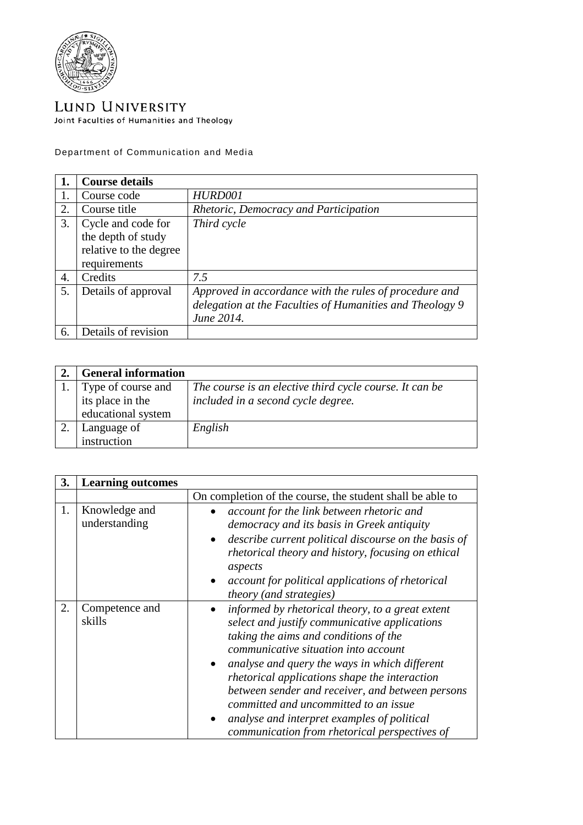

LUND UNIVERSITY Joint Faculties of Humanities and Theology

Department of Communication and Media

|    | <b>Course details</b>                                                              |                                                                                                                                  |
|----|------------------------------------------------------------------------------------|----------------------------------------------------------------------------------------------------------------------------------|
|    | Course code                                                                        | HURD001                                                                                                                          |
| 2. | Course title                                                                       | Rhetoric, Democracy and Participation                                                                                            |
| 3. | Cycle and code for<br>the depth of study<br>relative to the degree<br>requirements | Third cycle                                                                                                                      |
| 4. | Credits                                                                            | 7.5                                                                                                                              |
| 5. | Details of approval                                                                | Approved in accordance with the rules of procedure and<br>delegation at the Faculties of Humanities and Theology 9<br>June 2014. |
| 6. | Details of revision                                                                |                                                                                                                                  |

| <b>General information</b> |                                                         |
|----------------------------|---------------------------------------------------------|
| Type of course and         | The course is an elective third cycle course. It can be |
| its place in the           | included in a second cycle degree.                      |
| educational system         |                                                         |
| Language of                | English                                                 |
| instruction                |                                                         |

| 3. | <b>Learning outcomes</b>       |                                                                                                                                                                                                                                                                                                                                                                                                                                                                                   |
|----|--------------------------------|-----------------------------------------------------------------------------------------------------------------------------------------------------------------------------------------------------------------------------------------------------------------------------------------------------------------------------------------------------------------------------------------------------------------------------------------------------------------------------------|
|    |                                | On completion of the course, the student shall be able to                                                                                                                                                                                                                                                                                                                                                                                                                         |
| 1. | Knowledge and<br>understanding | account for the link between rhetoric and<br>democracy and its basis in Greek antiquity<br>describe current political discourse on the basis of<br>rhetorical theory and history, focusing on ethical<br>aspects<br>account for political applications of rhetorical<br><i>theory</i> (and <i>strategies</i> )                                                                                                                                                                    |
| 2. | Competence and<br>skills       | informed by rhetorical theory, to a great extent<br>select and justify communicative applications<br>taking the aims and conditions of the<br>communicative situation into account<br>analyse and query the ways in which different<br>rhetorical applications shape the interaction<br>between sender and receiver, and between persons<br>committed and uncommitted to an issue<br>analyse and interpret examples of political<br>communication from rhetorical perspectives of |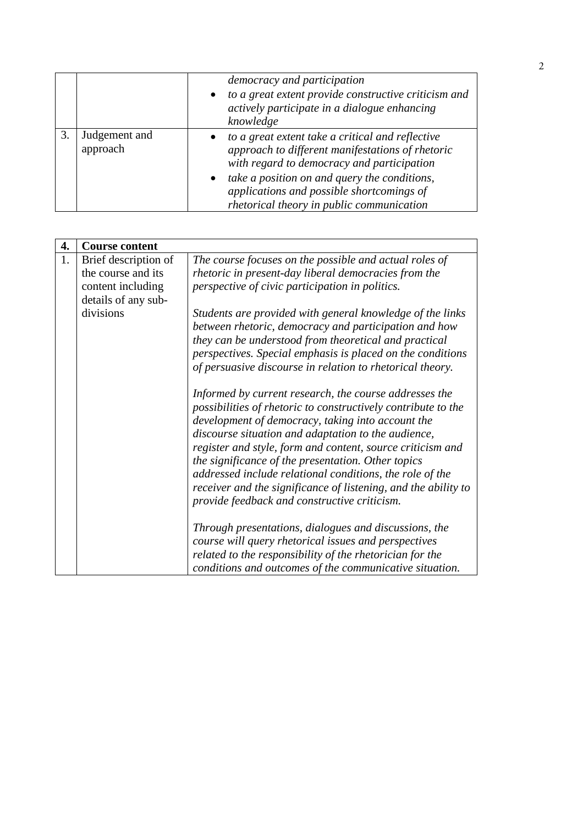|                           | democracy and participation                                                                                                                                     |
|---------------------------|-----------------------------------------------------------------------------------------------------------------------------------------------------------------|
|                           | to a great extent provide constructive criticism and<br>$\bullet$<br>actively participate in a dialogue enhancing<br>knowledge                                  |
| Judgement and<br>approach | to a great extent take a critical and reflective<br>$\bullet$<br>approach to different manifestations of rhetoric<br>with regard to democracy and participation |
|                           | take a position on and query the conditions,<br>$\bullet$<br>applications and possible shortcomings of<br>rhetorical theory in public communication             |

| 4. | <b>Course content</b> |                                                                                                                                                                                                                                                                                                                                                                                                                                                                                                                                       |
|----|-----------------------|---------------------------------------------------------------------------------------------------------------------------------------------------------------------------------------------------------------------------------------------------------------------------------------------------------------------------------------------------------------------------------------------------------------------------------------------------------------------------------------------------------------------------------------|
| 1. | Brief description of  | The course focuses on the possible and actual roles of                                                                                                                                                                                                                                                                                                                                                                                                                                                                                |
|    | the course and its    | rhetoric in present-day liberal democracies from the                                                                                                                                                                                                                                                                                                                                                                                                                                                                                  |
|    | content including     | perspective of civic participation in politics.                                                                                                                                                                                                                                                                                                                                                                                                                                                                                       |
|    | details of any sub-   |                                                                                                                                                                                                                                                                                                                                                                                                                                                                                                                                       |
|    | divisions             | Students are provided with general knowledge of the links<br>between rhetoric, democracy and participation and how<br>they can be understood from theoretical and practical<br>perspectives. Special emphasis is placed on the conditions<br>of persuasive discourse in relation to rhetorical theory.                                                                                                                                                                                                                                |
|    |                       | Informed by current research, the course addresses the<br>possibilities of rhetoric to constructively contribute to the<br>development of democracy, taking into account the<br>discourse situation and adaptation to the audience,<br>register and style, form and content, source criticism and<br>the significance of the presentation. Other topics<br>addressed include relational conditions, the role of the<br>receiver and the significance of listening, and the ability to<br>provide feedback and constructive criticism. |
|    |                       | Through presentations, dialogues and discussions, the<br>course will query rhetorical issues and perspectives<br>related to the responsibility of the rhetorician for the<br>conditions and outcomes of the communicative situation.                                                                                                                                                                                                                                                                                                  |